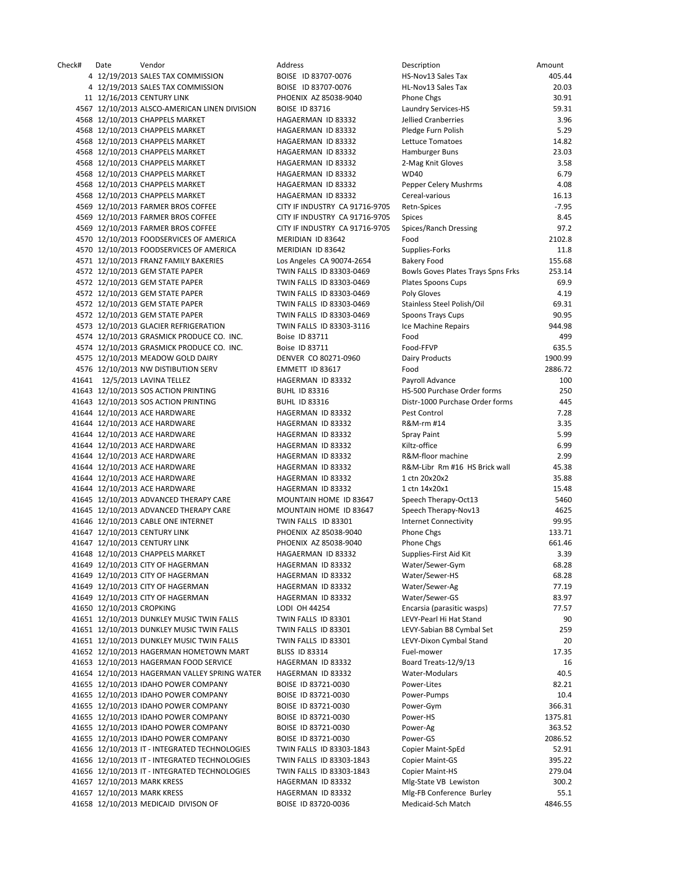Check# Date Vendor Address Description Amount 4 12/19/2013 SALES TAX COMMISSION BOISE ID 83707‐0076 HS‐Nov13 Sales Tax 405.44 4 12/19/2013 SALES TAX COMMISSION BOISE ID 83707-0076 11 12/16/2013 CENTURY LINK PHOENIX AZ 85038-9040 P 4567 12/10/2013 ALSCO-AMERICAN LINEN DIVISION BOISE ID 83716 LAUNDRY SERVICES 4568 12/10/2013 CHAPPELS MARKET HAGAERMAN ID 83332 4568 12/10/2013 CHAPPELS MARKET 
HAGAERMAN ID 83332 4568 12/10/2013 CHAPPELS MARKET HAGAERMAN ID 83332 L 4568 12/10/2013 CHAPPELS MARKET HAGAERMAN ID 83332 4568 12/10/2013 CHAPPELS MARKET HAGAERMAN ID 83332 4568 12/10/2013 CHAPPELS MARKET HAGAERMAN ID 83332 4568 12/10/2013 CHAPPELS MARKET HAGAERMAN ID 83332 F 4568 12/10/2013 CHAPPELS MARKET HAGAERMAN ID 83332 CHAPPELS 4569 12/10/2013 FARMER BROS COFFEE CITY IF INDUSTRY CA 91716-9705 4569 12/10/2013 FARMER BROS COFFEE CITY IF INDUSTRY CA 91716-9705 4569 12/10/2013 FARMER BROS COFFEE CITY IF INDUSTRY CA 91716-9705 4570 12/10/2013 FOODSERVICES OF AMERICA MERIDIAN ID 83642 4570 12/10/2013 FOODSERVICES OF AMERICA MERIDIAN ID 83642 4571 12/10/2013 FRANZ FAMILY BAKERIES Los Angeles CA 90074-2654 Baker 4572 12/10/2013 GEM STATE PAPER TWIN FALLS ID 83303-0469 B 4572 12/10/2013 GEM STATE PAPER TWIN FALLS ID 83303-0469 Plates Spoons 6 4572 12/10/2013 GEM STATE PAPER TWIN FALLS ID 83303-0469 4572 12/10/2013 GEM STATE PAPER TWIN FALLS ID 83303-0469 4572 12/10/2013 GEM STATE PAPER TWIN FALLS ID 83303-0469 4573 12/10/2013 GLACIER REFRIGERATION TWIN FALLS ID 83303-3116 4574 12/10/2013 GRASMICK PRODUCE CO. INC. Boise ID 83711 FOR ASSEMBLIFIC RESERVE 4574 12/10/2013 GRASMICK PRODUCE CO. INC. Boise ID 83711 FOOD 4575 12/10/2013 MEADOW GOLD DAIRY DENVER CO 80271-0960 4576 12/10/2013 NW DISTIBUTION SERV EMMETT ID 83617 41641 12/5/2013 LAVINA TELLEZ HAGERMAN ID 83332 Payroll Advance 100 41643 12/10/2013 SOS ACTION PRINTING BUHL ID 83316 HS 41643 12/10/2013 SOS ACTION PRINTING BUHL ID 83316 Districts 41644 12/10/2013 ACE HARDWARE **HAGERMAN ID 83332** P 41644 12/10/2013 ACE HARDWARE HAGERMAN ID 83332 41644 12/10/2013 ACE HARDWARE HAGERMAN ID 83332 41644 12/10/2013 ACE HARDWARE HAGERMAN ID 83332 K 41644 12/10/2013 ACE HARDWARE **HAGERMAN ID 83332** F 41644 12/10/2013 ACE HARDWARE **HAGERMAN ID 83332** R 41644 12/10/2013 ACE HARDWARE HAGERMAN ID 83332 41644 12/10/2013 ACE HARDWARE HAGERMAN ID 83332 41645 12/10/2013 ADVANCED THERAPY CARE MOUNTAIN HOME ID 83647 Speech Therapy
Seedish Speech Therapy
CARE 41645 12/10/2013 ADVANCED THERAPY CARE MOUNTAIN HOME ID 83647 41646 12/10/2013 CABLE ONE INTERNET TWIN FALLS ID 83301 41647 12/10/2013 CENTURY LINK PHOENIX AZ 85038-9040 F 41647 12/10/2013 CENTURY LINK PHOENIX AZ 85038-9040 P 41648 12/10/2013 CHAPPELS MARKET HAGAERMAN ID 83332 Supplies 41649 12/10/2013 CITY OF HAGERMAN HAGERMAN HAGERMAN ID 83332 41649 12/10/2013 CITY OF HAGERMAN HAGERMAN HAGERMAN ID 83332 41649 12/10/2013 CITY OF HAGERMAN **WATER HAGERMAN ID 83332** 41649 12/10/2013 CITY OF HAGERMAN HAGERMAN ID 83332 41650 12/10/2013 CROPKING LODI LODI OH 44254 ENCARSITION E 41651 12/10/2013 DUNKLEY MUSIC TWIN FALLS TWIN FALLS ID 83301 41651 12/10/2013 DUNKLEY MUSIC TWIN FALLS TWIN FALLS ID 83301 41651 12/10/2013 DUNKLEY MUSIC TWIN FALLS TWIN FALLS ID 83301 41652 12/10/2013 HAGERMAN HOMETOWN MART BLISS ID 83314 41653 12/10/2013 HAGERMAN FOOD SERVICE HAGERMAN ID 83332 B 41654 12/10/2013 HAGERMAN VALLEY SPRING WATER HAGERMAN ID 83332 41655 12/10/2013 IDAHO POWER COMPANY BOISE ID 83721-0030 41655 12/10/2013 IDAHO POWER COMPANY BOISE ID 83721-0030 P 41655 12/10/2013 IDAHO POWER COMPANY BOISE ID 83721-0030 P 41655 12/10/2013 IDAHO POWER COMPANY BOISE ID 83721-0030 F 41655 12/10/2013 IDAHO POWER COMPANY BOISE ID 83721-0030 41655 12/10/2013 IDAHO POWER COMPANY BOISE ID 83721-0030 POWER 41656 12/10/2013 IT - INTEGRATED TECHNOLOGIES TWIN FALLS ID 83303-1843 COPIER 41656 12/10/2013 IT - INTEGRATED TECHNOLOGIES TWIN FALLS ID 83303-1843 41656 12/10/2013 IT - INTEGRATED TECHNOLOGIES TWIN FALLS ID 83303-1843 41657 12/10/2013 MARK KRESS MAGERMAN ID 83332 41657 12/10/2013 MARK KRESS HAGERMAN ID 83332 M 41658 12/10/2013 MEDICAID DIVISON OF BOISE ID 83720-0036 M

| <b>Description</b>                                 | Amount  |
|----------------------------------------------------|---------|
| <b>HS-Nov13 Sales Tax</b>                          | 405.44  |
| <b>HL-Nov13 Sales Tax</b>                          | 20.03   |
| Phone Chgs                                         | 30.91   |
| aundry Services-HS-                                | 59.31   |
| ellied Cranberries                                 | 3.96    |
| Pledge Furn Polish                                 | 5.29    |
| ettuce Tomatoes                                    | 14.82   |
| Hamburger Buns                                     | 23.03   |
| 2-Mag Knit Gloves                                  | 3.58    |
| WD40                                               | 6.79    |
| Pepper Celery Mushrms                              | 4.08    |
| Cereal-various                                     | 16.13   |
| <b>Retn-Spices</b>                                 | $-7.95$ |
|                                                    | 8.45    |
| Spices                                             |         |
| Spices/Ranch Dressing                              | 97.2    |
| Food                                               | 2102.8  |
| Supplies-Forks                                     | 11.8    |
| Bakery Food                                        | 155.68  |
| Bowls Goves Plates Trays Spns Frks                 | 253.14  |
| Plates Spoons Cups                                 | 69.9    |
| Poly Gloves                                        | 4.19    |
| Stainless Steel Polish/Oil                         | 69.31   |
| Spoons Trays Cups                                  | 90.95   |
| ce Machine Repairs                                 | 944.98  |
| Food                                               | 499     |
| ood-FFVP                                           | 635.5   |
| Dairy Products                                     | 1900.99 |
| Food                                               | 2886.72 |
| Payroll Advance                                    | 100     |
| <b>HS-500 Purchase Order forms</b>                 | 25C     |
| Distr-1000 Purchase Order forms                    | 445     |
| Pest Control                                       | 7.28    |
| የ&M-rm #14                                         | 3.35    |
|                                                    |         |
| Spray Paint                                        | 5.99    |
| <iltz-office< td=""><td>6.99</td></iltz-office<>   | 6.99    |
| २&M-floor machine                                  | 2.99    |
| R&M-Libr Rm #16 HS Brick wall                      | 45.38   |
| 1 ctn 20x20x2                                      | 35.88   |
| 1 ctn 14x20x1                                      | 15.48   |
| Speech Therapy-Oct13                               | 5460    |
| Speech Therapy-Nov13                               | 4625    |
| nternet Connectivity                               | 99.95   |
| Phone Chgs                                         | 133.71  |
| Phone Chgs                                         | 661.46  |
| Supplies-First Aid Kit                             | 3.39    |
| Water/Sewer-Gym                                    | 68.28   |
| Water/Sewer-HS                                     | 68.28   |
| Water/Sewer-Ag                                     | 77.19   |
| Water/Sewer-GS                                     | 83.97   |
| Encarsia (parasitic wasps)                         | 77.57   |
|                                                    |         |
| EVY-Pearl Hi Hat Stand<br>EVY-Sabian B8 Cymbal Set | 90      |
|                                                    | 259     |
| EVY-Dixon Cymbal Stand                             | 20      |
| uel-mower <del>-</del>                             | 17.35   |
| Board Treats-12/9/13                               | 16      |
| <b>Nater-Modulars</b>                              | 40.5    |
| ower-Lites <sup></sup>                             | 82.21   |
| Power-Pumps                                        | 10.4    |
| Power-Gym                                          | 366.31  |
| ower-HS                                            | 1375.81 |
| Power-Ag                                           | 363.52  |
| ower-GS                                            | 2086.52 |
| Copier Maint-SpEd                                  | 52.91   |
| Copier Maint-GS                                    | 395.22  |
| Copier Maint-HS                                    | 279.04  |
| Vilg-State VB Lewiston                             | 300.2   |
|                                                    |         |
| <b>Mlg-FB Conference Burley</b>                    | 55.1    |
| Medicaid-Sch Match                                 | 4846.55 |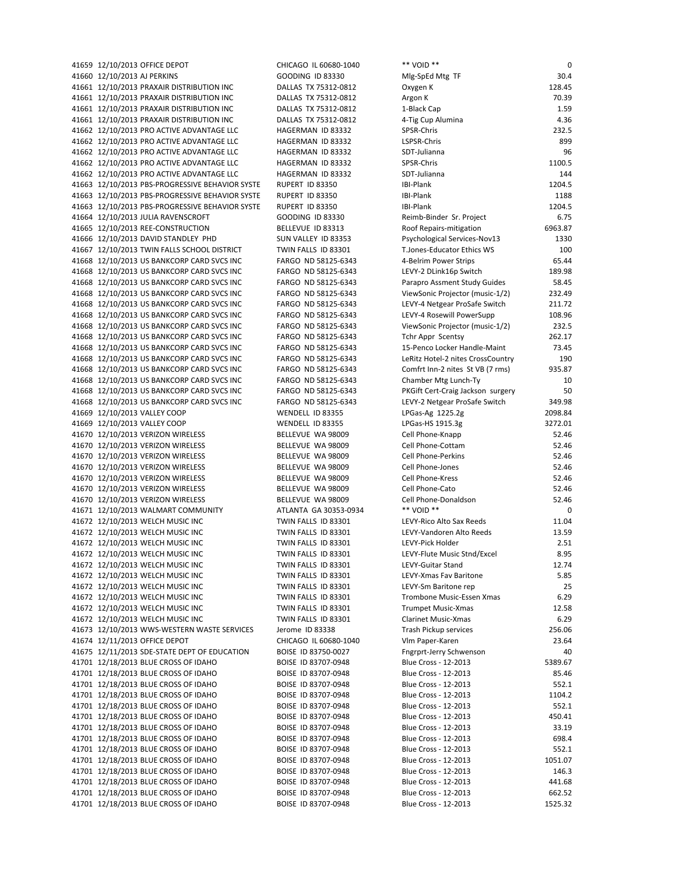| 41659 12/10/2013 OFFICE DEPOT                                                                      | CHICAGO IL 60680-1040                  | ** VOID **                                   | 0                  |
|----------------------------------------------------------------------------------------------------|----------------------------------------|----------------------------------------------|--------------------|
| 41660 12/10/2013 AJ PERKINS                                                                        | GOODING ID 83330                       | Mlg-SpEd Mtg TF                              | 30.4               |
| 41661 12/10/2013 PRAXAIR DISTRIBUTION INC                                                          | DALLAS TX 75312-0812                   | Oxygen K                                     | 128.45             |
| 41661 12/10/2013 PRAXAIR DISTRIBUTION INC                                                          | DALLAS TX 75312-0812                   | Argon K                                      | 70.39              |
| 41661 12/10/2013 PRAXAIR DISTRIBUTION INC                                                          | DALLAS TX 75312-0812                   | 1-Black Cap                                  | 1.59               |
| 41661 12/10/2013 PRAXAIR DISTRIBUTION INC                                                          | DALLAS TX 75312-0812                   | 4-Tig Cup Alumina                            | 4.36               |
| 41662 12/10/2013 PRO ACTIVE ADVANTAGE LLC                                                          | HAGERMAN ID 83332                      | SPSR-Chris                                   | 232.5              |
| 41662 12/10/2013 PRO ACTIVE ADVANTAGE LLC                                                          | HAGERMAN ID 83332                      | LSPSR-Chris                                  | 899                |
| 41662 12/10/2013 PRO ACTIVE ADVANTAGE LLC                                                          | HAGERMAN ID 83332                      | SDT-Julianna                                 | 96                 |
| 41662 12/10/2013 PRO ACTIVE ADVANTAGE LLC                                                          | HAGERMAN ID 83332                      | SPSR-Chris                                   | 1100.5             |
| 41662 12/10/2013 PRO ACTIVE ADVANTAGE LLC                                                          | HAGERMAN ID 83332                      | SDT-Julianna                                 | 144                |
| 41663 12/10/2013 PBS-PROGRESSIVE BEHAVIOR SYSTE                                                    | RUPERT ID 83350<br>RUPERT ID 83350     | IBI-Plank<br>IBI-Plank                       | 1204.5<br>1188     |
| 41663 12/10/2013 PBS-PROGRESSIVE BEHAVIOR SYSTE<br>41663 12/10/2013 PBS-PROGRESSIVE BEHAVIOR SYSTE | RUPERT ID 83350                        | IBI-Plank                                    | 1204.5             |
| 41664 12/10/2013 JULIA RAVENSCROFT                                                                 | GOODING ID 83330                       | Reimb-Binder Sr. Project                     | 6.75               |
| 41665 12/10/2013 REE-CONSTRUCTION                                                                  | BELLEVUE ID 83313                      | Roof Repairs-mitigation                      | 6963.87            |
| 41666 12/10/2013 DAVID STANDLEY PHD                                                                | SUN VALLEY ID 83353                    | Psychological Services-Nov13                 | 1330               |
| 41667 12/10/2013 TWIN FALLS SCHOOL DISTRICT                                                        | TWIN FALLS ID 83301                    | T.Jones-Educator Ethics WS                   | 100                |
| 41668 12/10/2013 US BANKCORP CARD SVCS INC                                                         | FARGO ND 58125-6343                    | 4-Belrim Power Strips                        | 65.44              |
| 41668 12/10/2013 US BANKCORP CARD SVCS INC                                                         | FARGO ND 58125-6343                    | LEVY-2 DLink16p Switch                       | 189.98             |
| 41668 12/10/2013 US BANKCORP CARD SVCS INC                                                         | FARGO ND 58125-6343                    | Parapro Assment Study Guides                 | 58.45              |
| 41668 12/10/2013 US BANKCORP CARD SVCS INC                                                         | FARGO ND 58125-6343                    | ViewSonic Projector (music-1/2)              | 232.49             |
| 41668 12/10/2013 US BANKCORP CARD SVCS INC                                                         | FARGO ND 58125-6343                    | LEVY-4 Netgear ProSafe Switch                | 211.72             |
| 41668 12/10/2013 US BANKCORP CARD SVCS INC                                                         | FARGO ND 58125-6343                    | LEVY-4 Rosewill PowerSupp                    | 108.96             |
| 41668 12/10/2013 US BANKCORP CARD SVCS INC                                                         | FARGO ND 58125-6343                    | ViewSonic Projector (music-1/2)              | 232.5              |
| 41668 12/10/2013 US BANKCORP CARD SVCS INC                                                         | FARGO ND 58125-6343                    | <b>Tchr Appr Scentsy</b>                     | 262.17             |
| 41668 12/10/2013 US BANKCORP CARD SVCS INC                                                         | FARGO ND 58125-6343                    | 15-Penco Locker Handle-Maint                 | 73.45              |
| 41668 12/10/2013 US BANKCORP CARD SVCS INC                                                         | FARGO ND 58125-6343                    | LeRitz Hotel-2 nites CrossCountry            | 190                |
| 41668 12/10/2013 US BANKCORP CARD SVCS INC                                                         | FARGO ND 58125-6343                    | Comfrt Inn-2 nites St VB (7 rms)             | 935.87             |
| 41668 12/10/2013 US BANKCORP CARD SVCS INC                                                         | FARGO ND 58125-6343                    | Chamber Mtg Lunch-Ty                         | 10                 |
| 41668 12/10/2013 US BANKCORP CARD SVCS INC                                                         | FARGO ND 58125-6343                    | PKGift Cert-Craig Jackson surgery            | 50                 |
| 41668 12/10/2013 US BANKCORP CARD SVCS INC                                                         | FARGO ND 58125-6343                    | LEVY-2 Netgear ProSafe Switch                | 349.98             |
| 41669 12/10/2013 VALLEY COOP<br>41669 12/10/2013 VALLEY COOP                                       | WENDELL ID 83355<br>WENDELL ID 83355   | LPGas-Ag 1225.2g<br>LPGas-HS 1915.3g         | 2098.84<br>3272.01 |
| 41670 12/10/2013 VERIZON WIRELESS                                                                  | BELLEVUE WA 98009                      | Cell Phone-Knapp                             | 52.46              |
| 41670 12/10/2013 VERIZON WIRELESS                                                                  | BELLEVUE WA 98009                      | Cell Phone-Cottam                            | 52.46              |
| 41670 12/10/2013 VERIZON WIRELESS                                                                  | BELLEVUE WA 98009                      | Cell Phone-Perkins                           | 52.46              |
| 41670 12/10/2013 VERIZON WIRELESS                                                                  | BELLEVUE WA 98009                      | Cell Phone-Jones                             | 52.46              |
| 41670 12/10/2013 VERIZON WIRELESS                                                                  | BELLEVUE WA 98009                      | Cell Phone-Kress                             | 52.46              |
| 41670 12/10/2013 VERIZON WIRELESS                                                                  | BELLEVUE WA 98009                      | Cell Phone-Cato                              | 52.46              |
| 41670 12/10/2013 VERIZON WIRELESS                                                                  | BELLEVUE WA 98009                      | Cell Phone-Donaldson                         | 52.46              |
| 41671 12/10/2013 WALMART COMMUNITY                                                                 | ATLANTA GA 30353-0934                  | ** VOID **                                   | 0                  |
| 41672 12/10/2013 WELCH MUSIC INC                                                                   | TWIN FALLS ID 83301                    | LEVY-Rico Alto Sax Reeds                     | 11.04              |
| 41672 12/10/2013 WELCH MUSIC INC                                                                   | TWIN FALLS ID 83301                    | LEVY-Vandoren Alto Reeds                     | 13.59              |
| 41672 12/10/2013 WELCH MUSIC INC                                                                   | TWIN FALLS ID 83301                    | LEVY-Pick Holder                             | 2.51               |
| 41672 12/10/2013 WELCH MUSIC INC                                                                   | TWIN FALLS ID 83301                    | LEVY-Flute Music Stnd/Excel                  | 8.95               |
| 41672 12/10/2013 WELCH MUSIC INC                                                                   | TWIN FALLS ID 83301                    | LEVY-Guitar Stand                            | 12.74              |
| 41672 12/10/2013 WELCH MUSIC INC                                                                   | TWIN FALLS ID 83301                    | LEVY-Xmas Fav Baritone                       | 5.85               |
| 41672 12/10/2013 WELCH MUSIC INC                                                                   | TWIN FALLS ID 83301                    | LEVY-Sm Baritone rep                         | 25                 |
| 41672 12/10/2013 WELCH MUSIC INC                                                                   | TWIN FALLS ID 83301                    | Trombone Music-Essen Xmas                    | 6.29               |
| 41672 12/10/2013 WELCH MUSIC INC                                                                   | TWIN FALLS ID 83301                    | <b>Trumpet Music-Xmas</b>                    | 12.58<br>6.29      |
| 41672 12/10/2013 WELCH MUSIC INC<br>41673 12/10/2013 WWS-WESTERN WASTE SERVICES                    | TWIN FALLS ID 83301<br>Jerome ID 83338 | Clarinet Music-Xmas<br>Trash Pickup services | 256.06             |
| 41674 12/11/2013 OFFICE DEPOT                                                                      | CHICAGO IL 60680-1040                  | Vlm Paper-Karen                              | 23.64              |
| 41675 12/11/2013 SDE-STATE DEPT OF EDUCATION                                                       | BOISE ID 83750-0027                    | Fngrprt-Jerry Schwenson                      | 40                 |
| 41701 12/18/2013 BLUE CROSS OF IDAHO                                                               | BOISE ID 83707-0948                    | Blue Cross - 12-2013                         | 5389.67            |
| 41701 12/18/2013 BLUE CROSS OF IDAHO                                                               | BOISE ID 83707-0948                    | Blue Cross - 12-2013                         | 85.46              |
| 41701 12/18/2013 BLUE CROSS OF IDAHO                                                               | BOISE ID 83707-0948                    | Blue Cross - 12-2013                         | 552.1              |
| 41701 12/18/2013 BLUE CROSS OF IDAHO                                                               | BOISE ID 83707-0948                    | Blue Cross - 12-2013                         | 1104.2             |
| 41701 12/18/2013 BLUE CROSS OF IDAHO                                                               | BOISE ID 83707-0948                    | Blue Cross - 12-2013                         | 552.1              |
| 41701 12/18/2013 BLUE CROSS OF IDAHO                                                               | BOISE ID 83707-0948                    | Blue Cross - 12-2013                         | 450.41             |
| 41701 12/18/2013 BLUE CROSS OF IDAHO                                                               | BOISE ID 83707-0948                    | Blue Cross - 12-2013                         | 33.19              |
| 41701 12/18/2013 BLUE CROSS OF IDAHO                                                               | BOISE ID 83707-0948                    | Blue Cross - 12-2013                         | 698.4              |
| 41701 12/18/2013 BLUE CROSS OF IDAHO                                                               | BOISE ID 83707-0948                    | Blue Cross - 12-2013                         | 552.1              |
| 41701 12/18/2013 BLUE CROSS OF IDAHO                                                               | BOISE ID 83707-0948                    | Blue Cross - 12-2013                         | 1051.07            |
| 41701 12/18/2013 BLUE CROSS OF IDAHO                                                               | BOISE ID 83707-0948                    | Blue Cross - 12-2013                         | 146.3              |
| 41701 12/18/2013 BLUE CROSS OF IDAHO                                                               | BOISE ID 83707-0948                    | Blue Cross - 12-2013                         | 441.68             |
| 41701 12/18/2013 BLUE CROSS OF IDAHO                                                               | BOISE ID 83707-0948                    | Blue Cross - 12-2013                         | 662.52             |
| 41701 12/18/2013 BLUE CROSS OF IDAHO                                                               | BOISE ID 83707-0948                    | Blue Cross - 12-2013                         | 1525.32            |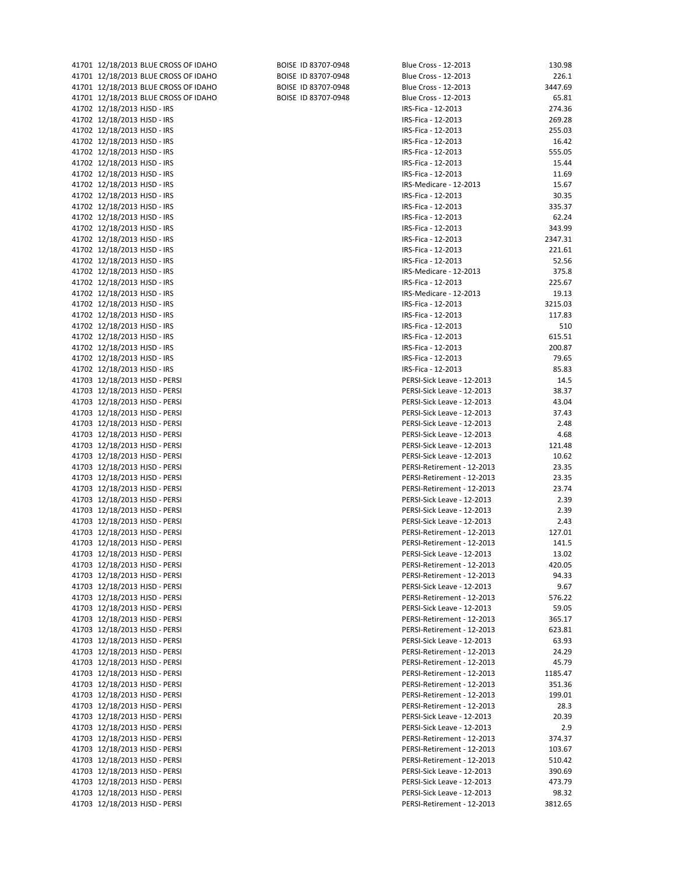| 41701 12/18/2013 BLUE CROSS OF IDAHO                           | BOISE ID 83707-0948 | Blue Cross - 12-2013                                     | 130.98          |
|----------------------------------------------------------------|---------------------|----------------------------------------------------------|-----------------|
| 41701 12/18/2013 BLUE CROSS OF IDAHO                           | BOISE ID 83707-0948 | Blue Cross - 12-2013                                     | 226.1           |
| 41701 12/18/2013 BLUE CROSS OF IDAHO                           | BOISE ID 83707-0948 | Blue Cross - 12-2013                                     | 3447.69         |
| 41701 12/18/2013 BLUE CROSS OF IDAHO                           | BOISE ID 83707-0948 | Blue Cross - 12-2013                                     | 65.81           |
| 41702 12/18/2013 HJSD - IRS                                    |                     | IRS-Fica - 12-2013                                       | 274.36          |
| 41702 12/18/2013 HJSD - IRS                                    |                     | IRS-Fica - 12-2013                                       | 269.28          |
| 41702 12/18/2013 HJSD - IRS                                    |                     | IRS-Fica - 12-2013                                       | 255.03          |
| 41702 12/18/2013 HJSD - IRS                                    |                     | IRS-Fica - 12-2013                                       | 16.42           |
| 41702 12/18/2013 HJSD - IRS                                    |                     | IRS-Fica - 12-2013                                       | 555.05          |
| 41702 12/18/2013 HJSD - IRS                                    |                     | IRS-Fica - 12-2013                                       | 15.44           |
| 41702 12/18/2013 HJSD - IRS                                    |                     | IRS-Fica - 12-2013                                       | 11.69           |
| 41702 12/18/2013 HJSD - IRS                                    |                     | IRS-Medicare - 12-2013                                   | 15.67           |
| 41702 12/18/2013 HJSD - IRS                                    |                     | IRS-Fica - 12-2013                                       | 30.35           |
| 41702 12/18/2013 HJSD - IRS                                    |                     | IRS-Fica - 12-2013                                       | 335.37          |
| 41702 12/18/2013 HJSD - IRS                                    |                     | IRS-Fica - 12-2013                                       | 62.24           |
| 41702 12/18/2013 HJSD - IRS                                    |                     | IRS-Fica - 12-2013                                       | 343.99          |
| 41702 12/18/2013 HJSD - IRS                                    |                     | IRS-Fica - 12-2013                                       | 2347.31         |
| 41702 12/18/2013 HJSD - IRS                                    |                     | IRS-Fica - 12-2013                                       | 221.61          |
| 41702 12/18/2013 HJSD - IRS                                    |                     | IRS-Fica - 12-2013                                       | 52.56           |
| 41702 12/18/2013 HJSD - IRS                                    |                     | IRS-Medicare - 12-2013                                   | 375.8           |
| 41702 12/18/2013 HJSD - IRS                                    |                     | IRS-Fica - 12-2013                                       | 225.67          |
| 41702 12/18/2013 HJSD - IRS                                    |                     | IRS-Medicare - 12-2013                                   | 19.13           |
| 41702 12/18/2013 HJSD - IRS                                    |                     | IRS-Fica - 12-2013                                       | 3215.03         |
| 41702 12/18/2013 HJSD - IRS                                    |                     | IRS-Fica - 12-2013                                       | 117.83          |
| 41702 12/18/2013 HJSD - IRS<br>41702 12/18/2013 HJSD - IRS     |                     | IRS-Fica - 12-2013<br>IRS-Fica - 12-2013                 | 510<br>615.51   |
|                                                                |                     |                                                          |                 |
| 41702 12/18/2013 HJSD - IRS<br>41702 12/18/2013 HJSD - IRS     |                     | IRS-Fica - 12-2013<br>IRS-Fica - 12-2013                 | 200.87<br>79.65 |
| 41702 12/18/2013 HJSD - IRS                                    |                     | IRS-Fica - 12-2013                                       | 85.83           |
| 41703 12/18/2013 HJSD - PERSI                                  |                     | PERSI-Sick Leave - 12-2013                               | 14.5            |
| 41703 12/18/2013 HJSD - PERSI                                  |                     | PERSI-Sick Leave - 12-2013                               | 38.37           |
| 41703 12/18/2013 HJSD - PERSI                                  |                     | PERSI-Sick Leave - 12-2013                               | 43.04           |
| 41703 12/18/2013 HJSD - PERSI                                  |                     | PERSI-Sick Leave - 12-2013                               | 37.43           |
| 41703 12/18/2013 HJSD - PERSI                                  |                     | PERSI-Sick Leave - 12-2013                               | 2.48            |
| 41703 12/18/2013 HJSD - PERSI                                  |                     | PERSI-Sick Leave - 12-2013                               | 4.68            |
| 41703 12/18/2013 HJSD - PERSI                                  |                     | PERSI-Sick Leave - 12-2013                               | 121.48          |
| 41703 12/18/2013 HJSD - PERSI                                  |                     | PERSI-Sick Leave - 12-2013                               | 10.62           |
| 41703 12/18/2013 HJSD - PERSI                                  |                     | PERSI-Retirement - 12-2013                               | 23.35           |
| 41703 12/18/2013 HJSD - PERSI                                  |                     | PERSI-Retirement - 12-2013                               | 23.35           |
| 41703 12/18/2013 HJSD - PERSI                                  |                     | PERSI-Retirement - 12-2013                               | 23.74           |
| 41703 12/18/2013 HJSD - PERSI                                  |                     | PERSI-Sick Leave - 12-2013                               | 2.39            |
| 41703 12/18/2013 HJSD - PERSI                                  |                     | PERSI-Sick Leave - 12-2013                               | 2.39            |
| 41703 12/18/2013 HJSD - PERSI                                  |                     | PERSI-Sick Leave - 12-2013                               | 2.43            |
| 41703 12/18/2013 HJSD - PERSI                                  |                     | PERSI-Retirement - 12-2013                               | 127.01          |
| 41703 12/18/2013 HJSD - PERSI                                  |                     | PERSI-Retirement - 12-2013                               | 141.5           |
| 41703 12/18/2013 HJSD - PERSI                                  |                     | PERSI-Sick Leave - 12-2013                               | 13.02           |
| 41703 12/18/2013 HJSD - PERSI                                  |                     | PERSI-Retirement - 12-2013                               | 420.05          |
| 41703 12/18/2013 HJSD - PERSI                                  |                     | PERSI-Retirement - 12-2013                               | 94.33           |
| 41703 12/18/2013 HJSD - PERSI                                  |                     | PERSI-Sick Leave - 12-2013                               | 9.67            |
| 41703 12/18/2013 HJSD - PERSI                                  |                     | PERSI-Retirement - 12-2013                               | 576.22          |
| 41703 12/18/2013 HJSD - PERSI                                  |                     | PERSI-Sick Leave - 12-2013                               | 59.05           |
| 41703 12/18/2013 HJSD - PERSI                                  |                     | PERSI-Retirement - 12-2013<br>PERSI-Retirement - 12-2013 | 365.17          |
| 41703 12/18/2013 HJSD - PERSI<br>41703 12/18/2013 HJSD - PERSI |                     | PERSI-Sick Leave - 12-2013                               | 623.81<br>63.93 |
| 41703 12/18/2013 HJSD - PERSI                                  |                     | PERSI-Retirement - 12-2013                               | 24.29           |
| 41703 12/18/2013 HJSD - PERSI                                  |                     | PERSI-Retirement - 12-2013                               | 45.79           |
| 41703 12/18/2013 HJSD - PERSI                                  |                     | PERSI-Retirement - 12-2013                               | 1185.47         |
| 41703 12/18/2013 HJSD - PERSI                                  |                     | PERSI-Retirement - 12-2013                               | 351.36          |
| 41703 12/18/2013 HJSD - PERSI                                  |                     | PERSI-Retirement - 12-2013                               | 199.01          |
| 41703 12/18/2013 HJSD - PERSI                                  |                     | PERSI-Retirement - 12-2013                               | 28.3            |
| 41703 12/18/2013 HJSD - PERSI                                  |                     | PERSI-Sick Leave - 12-2013                               | 20.39           |
| 41703 12/18/2013 HJSD - PERSI                                  |                     | PERSI-Sick Leave - 12-2013                               | 2.9             |
| 41703 12/18/2013 HJSD - PERSI                                  |                     | PERSI-Retirement - 12-2013                               | 374.37          |
| 41703 12/18/2013 HJSD - PERSI                                  |                     | PERSI-Retirement - 12-2013                               | 103.67          |
| 41703 12/18/2013 HJSD - PERSI                                  |                     | PERSI-Retirement - 12-2013                               | 510.42          |
| 41703 12/18/2013 HJSD - PERSI                                  |                     | PERSI-Sick Leave - 12-2013                               | 390.69          |
| 41703 12/18/2013 HJSD - PERSI                                  |                     | PERSI-Sick Leave - 12-2013                               | 473.79          |
| 41703 12/18/2013 HJSD - PERSI                                  |                     | PERSI-Sick Leave - 12-2013                               | 98.32           |
| 41703 12/18/2013 HJSD - PERSI                                  |                     | PERSI-Retirement - 12-2013                               | 3812.65         |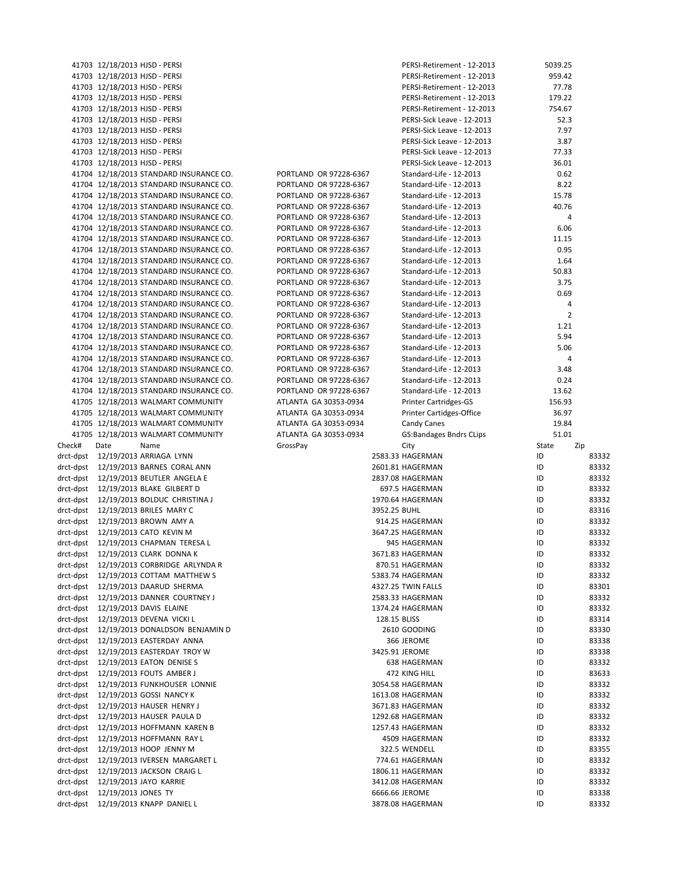|           | 41703 12/18/2013 HJSD - PERSI                                                      |                                                  | PERSI-Retirement - 12-2013                         | 5039.25        |       |
|-----------|------------------------------------------------------------------------------------|--------------------------------------------------|----------------------------------------------------|----------------|-------|
|           | 41703 12/18/2013 HJSD - PERSI                                                      |                                                  | PERSI-Retirement - 12-2013                         | 959.42         |       |
|           | 41703 12/18/2013 HJSD - PERSI                                                      |                                                  | PERSI-Retirement - 12-2013                         | 77.78          |       |
|           | 41703 12/18/2013 HJSD - PERSI                                                      |                                                  | PERSI-Retirement - 12-2013                         | 179.22         |       |
|           | 41703 12/18/2013 HJSD - PERSI                                                      |                                                  | PERSI-Retirement - 12-2013                         | 754.67         |       |
|           | 41703 12/18/2013 HJSD - PERSI                                                      |                                                  | PERSI-Sick Leave - 12-2013                         | 52.3           |       |
|           | 41703 12/18/2013 HJSD - PERSI                                                      |                                                  | PERSI-Sick Leave - 12-2013                         | 7.97           |       |
|           | 41703 12/18/2013 HJSD - PERSI                                                      |                                                  | PERSI-Sick Leave - 12-2013                         | 3.87           |       |
|           | 41703 12/18/2013 HJSD - PERSI                                                      |                                                  | PERSI-Sick Leave - 12-2013                         | 77.33          |       |
|           | 41703 12/18/2013 HJSD - PERSI                                                      |                                                  | PERSI-Sick Leave - 12-2013                         | 36.01          |       |
|           | 41704 12/18/2013 STANDARD INSURANCE CO.                                            | PORTLAND OR 97228-6367                           | Standard-Life - 12-2013                            | 0.62           |       |
|           | 41704 12/18/2013 STANDARD INSURANCE CO.                                            | PORTLAND OR 97228-6367                           | Standard-Life - 12-2013                            | 8.22           |       |
|           | 41704 12/18/2013 STANDARD INSURANCE CO.                                            | PORTLAND OR 97228-6367                           | Standard-Life - 12-2013                            | 15.78          |       |
|           | 41704 12/18/2013 STANDARD INSURANCE CO.                                            | PORTLAND OR 97228-6367                           | Standard-Life - 12-2013                            | 40.76          |       |
|           | 41704 12/18/2013 STANDARD INSURANCE CO.                                            | PORTLAND OR 97228-6367<br>PORTLAND OR 97228-6367 | Standard-Life - 12-2013<br>Standard-Life - 12-2013 | 4<br>6.06      |       |
|           | 41704 12/18/2013 STANDARD INSURANCE CO.                                            | PORTLAND OR 97228-6367                           | Standard-Life - 12-2013                            | 11.15          |       |
|           | 41704 12/18/2013 STANDARD INSURANCE CO.<br>41704 12/18/2013 STANDARD INSURANCE CO. | PORTLAND OR 97228-6367                           | Standard-Life - 12-2013                            | 0.95           |       |
|           | 41704 12/18/2013 STANDARD INSURANCE CO.                                            | PORTLAND OR 97228-6367                           | Standard-Life - 12-2013                            | 1.64           |       |
|           | 41704 12/18/2013 STANDARD INSURANCE CO.                                            | PORTLAND OR 97228-6367                           | Standard-Life - 12-2013                            | 50.83          |       |
|           | 41704 12/18/2013 STANDARD INSURANCE CO.                                            | PORTLAND OR 97228-6367                           | Standard-Life - 12-2013                            | 3.75           |       |
|           | 41704 12/18/2013 STANDARD INSURANCE CO.                                            | PORTLAND OR 97228-6367                           | Standard-Life - 12-2013                            | 0.69           |       |
|           | 41704 12/18/2013 STANDARD INSURANCE CO.                                            | PORTLAND OR 97228-6367                           | Standard-Life - 12-2013                            | 4              |       |
|           | 41704 12/18/2013 STANDARD INSURANCE CO.                                            | PORTLAND OR 97228-6367                           | Standard-Life - 12-2013                            | $\overline{2}$ |       |
|           | 41704 12/18/2013 STANDARD INSURANCE CO.                                            | PORTLAND OR 97228-6367                           | Standard-Life - 12-2013                            | 1.21           |       |
|           | 41704 12/18/2013 STANDARD INSURANCE CO.                                            | PORTLAND OR 97228-6367                           | Standard-Life - 12-2013                            | 5.94           |       |
|           | 41704 12/18/2013 STANDARD INSURANCE CO.                                            | PORTLAND OR 97228-6367                           | Standard-Life - 12-2013                            | 5.06           |       |
|           | 41704 12/18/2013 STANDARD INSURANCE CO.                                            | PORTLAND OR 97228-6367                           | Standard-Life - 12-2013                            | 4              |       |
|           | 41704 12/18/2013 STANDARD INSURANCE CO.                                            | PORTLAND OR 97228-6367                           | Standard-Life - 12-2013                            | 3.48           |       |
|           | 41704 12/18/2013 STANDARD INSURANCE CO.                                            | PORTLAND OR 97228-6367                           | Standard-Life - 12-2013                            | 0.24           |       |
|           | 41704 12/18/2013 STANDARD INSURANCE CO.                                            | PORTLAND OR 97228-6367                           | Standard-Life - 12-2013                            | 13.62          |       |
|           | 41705 12/18/2013 WALMART COMMUNITY                                                 | ATLANTA GA 30353-0934                            | <b>Printer Cartridges-GS</b>                       | 156.93         |       |
|           | 41705 12/18/2013 WALMART COMMUNITY                                                 | ATLANTA GA 30353-0934                            | Printer Cartidges-Office                           | 36.97          |       |
|           | 41705 12/18/2013 WALMART COMMUNITY                                                 | ATLANTA GA 30353-0934                            | Candy Canes                                        | 19.84          |       |
|           | 41705 12/18/2013 WALMART COMMUNITY                                                 | ATLANTA GA 30353-0934                            | <b>GS:Bandages Bndrs CLips</b>                     | 51.01          |       |
| Check#    | Date<br>Name                                                                       | GrossPay                                         | City                                               | State          | Zip   |
|           | drct-dpst 12/19/2013 ARRIAGA LYNN                                                  |                                                  | 2583.33 HAGERMAN                                   | ID             | 83332 |
|           | drct-dpst 12/19/2013 BARNES CORAL ANN                                              |                                                  | 2601.81 HAGERMAN                                   | ID             | 83332 |
|           | drct-dpst 12/19/2013 BEUTLER ANGELA E                                              |                                                  | 2837.08 HAGERMAN                                   | ID             | 83332 |
|           | drct-dpst 12/19/2013 BLAKE GILBERT D                                               |                                                  | 697.5 HAGERMAN                                     | ID             | 83332 |
|           | drct-dpst 12/19/2013 BOLDUC CHRISTINA J                                            |                                                  | 1970.64 HAGERMAN                                   | ID             | 83332 |
|           | drct-dpst 12/19/2013 BRILES MARY C                                                 |                                                  | 3952.25 BUHL                                       | ID             | 83316 |
|           | drct-dpst 12/19/2013 BROWN AMY A                                                   |                                                  | 914.25 HAGERMAN                                    | ID             | 83332 |
|           | drct-dpst 12/19/2013 CATO KEVIN M                                                  |                                                  | 3647.25 HAGERMAN                                   | ID             | 83332 |
|           | drct-dpst 12/19/2013 CHAPMAN TERESA L                                              |                                                  | 945 HAGERMAN                                       | ID             | 83332 |
|           | drct-dpst 12/19/2013 CLARK DONNA K                                                 |                                                  | 3671.83 HAGERMAN                                   | ID             | 83332 |
|           | drct-dpst 12/19/2013 CORBRIDGE ARLYNDA R                                           |                                                  | 870.51 HAGERMAN                                    | ID             | 83332 |
|           | drct-dpst 12/19/2013 COTTAM MATTHEW S                                              |                                                  | 5383.74 HAGERMAN                                   | ID             | 83332 |
|           | drct-dpst 12/19/2013 DAARUD SHERMA                                                 |                                                  | 4327.25 TWIN FALLS                                 | ID             | 83301 |
|           | drct-dpst 12/19/2013 DANNER COURTNEY J                                             |                                                  | 2583.33 HAGERMAN                                   | ID             | 83332 |
|           | drct-dpst 12/19/2013 DAVIS ELAINE                                                  |                                                  | 1374.24 HAGERMAN                                   | ID             | 83332 |
|           | drct-dpst 12/19/2013 DEVENA VICKI L                                                |                                                  | 128.15 BLISS                                       | ID             | 83314 |
|           | drct-dpst 12/19/2013 DONALDSON BENJAMIN D                                          |                                                  | 2610 GOODING                                       | ID             | 83330 |
|           | drct-dpst 12/19/2013 EASTERDAY ANNA                                                |                                                  | 366 JEROME                                         | ID             | 83338 |
|           | drct-dpst 12/19/2013 EASTERDAY TROY W                                              |                                                  | 3425.91 JEROME                                     | ID             | 83338 |
|           | drct-dpst 12/19/2013 EATON DENISE S                                                |                                                  | 638 HAGERMAN                                       | ID             | 83332 |
|           | drct-dpst 12/19/2013 FOUTS AMBER J                                                 |                                                  | 472 KING HILL                                      | ID             | 83633 |
|           | drct-dpst 12/19/2013 FUNKHOUSER LONNIE                                             |                                                  | 3054.58 HAGERMAN                                   | ID             | 83332 |
|           | drct-dpst 12/19/2013 GOSSI NANCY K                                                 |                                                  | 1613.08 HAGERMAN                                   | ID             | 83332 |
|           | drct-dpst 12/19/2013 HAUSER HENRY J                                                |                                                  | 3671.83 HAGERMAN                                   | ID             | 83332 |
|           | drct-dpst 12/19/2013 HAUSER PAULA D                                                |                                                  | 1292.68 HAGERMAN                                   | ID             | 83332 |
|           | drct-dpst 12/19/2013 HOFFMANN KAREN B                                              |                                                  | 1257.43 HAGERMAN                                   | ID             | 83332 |
|           | drct-dpst 12/19/2013 HOFFMANN RAY L                                                |                                                  | 4509 HAGERMAN                                      | ID             | 83332 |
|           | drct-dpst 12/19/2013 HOOP JENNY M                                                  |                                                  | 322.5 WENDELL                                      | ID             | 83355 |
|           | drct-dpst 12/19/2013 IVERSEN MARGARET L                                            |                                                  | 774.61 HAGERMAN                                    | ID             | 83332 |
|           | drct-dpst 12/19/2013 JACKSON CRAIG L                                               |                                                  | 1806.11 HAGERMAN                                   | ID             | 83332 |
|           | drct-dpst 12/19/2013 JAYO KARRIE                                                   |                                                  | 3412.08 HAGERMAN                                   | ID             | 83332 |
| drct-dpst | 12/19/2013 JONES TY                                                                |                                                  | 6666.66 JEROME                                     | ID             | 83338 |
| drct-dpst | 12/19/2013 KNAPP DANIEL L                                                          |                                                  | 3878.08 HAGERMAN                                   | ID             | 83332 |
|           |                                                                                    |                                                  |                                                    |                |       |